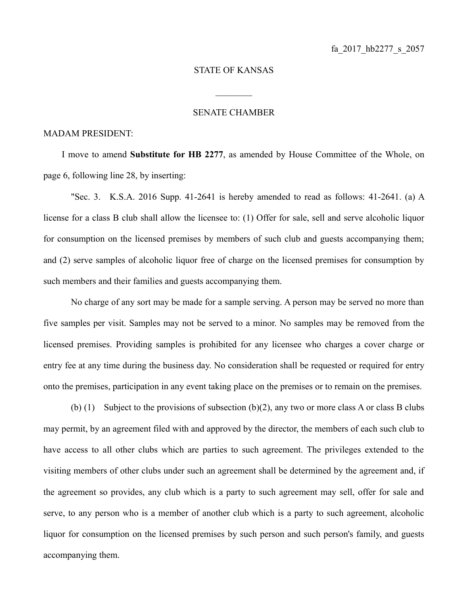## STATE OF KANSAS

 $\frac{1}{2}$ 

## SENATE CHAMBER

## MADAM PRESIDENT:

I move to amend **Substitute for HB 2277**, as amended by House Committee of the Whole, on page 6, following line 28, by inserting:

"Sec. 3. K.S.A. 2016 Supp. 41-2641 is hereby amended to read as follows: 41-2641. (a) A license for a class B club shall allow the licensee to: (1) Offer for sale, sell and serve alcoholic liquor for consumption on the licensed premises by members of such club and guests accompanying them; and (2) serve samples of alcoholic liquor free of charge on the licensed premises for consumption by such members and their families and guests accompanying them.

No charge of any sort may be made for a sample serving. A person may be served no more than five samples per visit. Samples may not be served to a minor. No samples may be removed from the licensed premises. Providing samples is prohibited for any licensee who charges a cover charge or entry fee at any time during the business day. No consideration shall be requested or required for entry onto the premises, participation in any event taking place on the premises or to remain on the premises.

(b) (1) Subject to the provisions of subsection (b)(2), any two or more class A or class B clubs may permit, by an agreement filed with and approved by the director, the members of each such club to have access to all other clubs which are parties to such agreement. The privileges extended to the visiting members of other clubs under such an agreement shall be determined by the agreement and, if the agreement so provides, any club which is a party to such agreement may sell, offer for sale and serve, to any person who is a member of another club which is a party to such agreement, alcoholic liquor for consumption on the licensed premises by such person and such person's family, and guests accompanying them.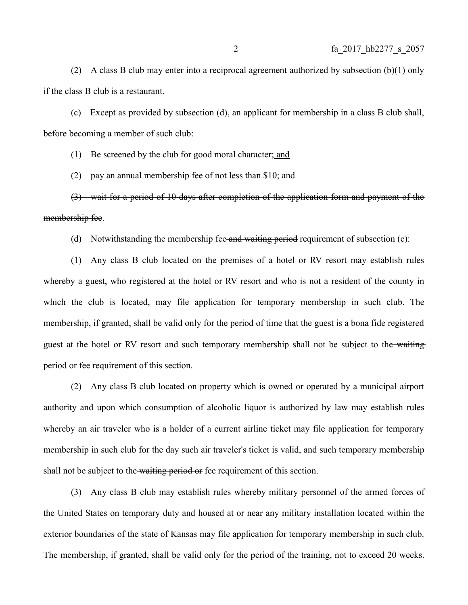(2) A class B club may enter into a reciprocal agreement authorized by subsection  $(b)(1)$  only if the class B club is a restaurant.

(c) Except as provided by subsection (d), an applicant for membership in a class B club shall, before becoming a member of such club:

(1) Be screened by the club for good moral character; and

(2) pay an annual membership fee of not less than  $$10;$  and

(3) wait for a period of 10 days after completion of the application form and payment of the membership fee.

(d) Notwithstanding the membership fee-and waiting period requirement of subsection (c):

(1) Any class B club located on the premises of a hotel or RV resort may establish rules whereby a guest, who registered at the hotel or RV resort and who is not a resident of the county in which the club is located, may file application for temporary membership in such club. The membership, if granted, shall be valid only for the period of time that the guest is a bona fide registered guest at the hotel or RV resort and such temporary membership shall not be subject to the waiting period or fee requirement of this section.

(2) Any class B club located on property which is owned or operated by a municipal airport authority and upon which consumption of alcoholic liquor is authorized by law may establish rules whereby an air traveler who is a holder of a current airline ticket may file application for temporary membership in such club for the day such air traveler's ticket is valid, and such temporary membership shall not be subject to the waiting period or fee requirement of this section.

(3) Any class B club may establish rules whereby military personnel of the armed forces of the United States on temporary duty and housed at or near any military installation located within the exterior boundaries of the state of Kansas may file application for temporary membership in such club. The membership, if granted, shall be valid only for the period of the training, not to exceed 20 weeks.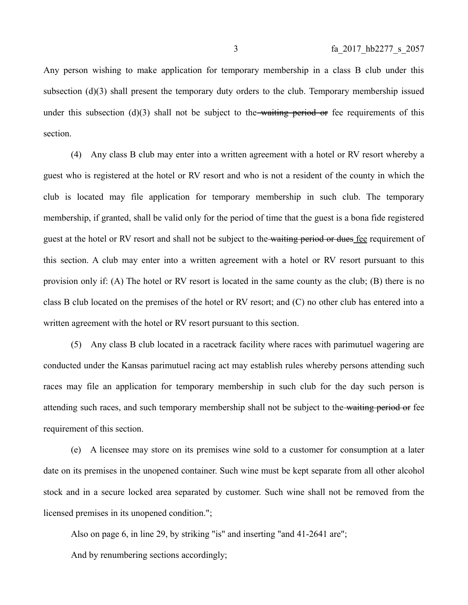Any person wishing to make application for temporary membership in a class B club under this subsection  $(d)(3)$  shall present the temporary duty orders to the club. Temporary membership issued under this subsection  $(d)(3)$  shall not be subject to the waiting period or fee requirements of this section.

(4) Any class B club may enter into a written agreement with a hotel or RV resort whereby a guest who is registered at the hotel or RV resort and who is not a resident of the county in which the club is located may file application for temporary membership in such club. The temporary membership, if granted, shall be valid only for the period of time that the guest is a bona fide registered guest at the hotel or RV resort and shall not be subject to the waiting period or dues fee requirement of this section. A club may enter into a written agreement with a hotel or RV resort pursuant to this provision only if: (A) The hotel or RV resort is located in the same county as the club; (B) there is no class B club located on the premises of the hotel or RV resort; and (C) no other club has entered into a written agreement with the hotel or RV resort pursuant to this section.

(5) Any class B club located in a racetrack facility where races with parimutuel wagering are conducted under the Kansas parimutuel racing act may establish rules whereby persons attending such races may file an application for temporary membership in such club for the day such person is attending such races, and such temporary membership shall not be subject to the waiting period or fee requirement of this section.

(e) A licensee may store on its premises wine sold to a customer for consumption at a later date on its premises in the unopened container. Such wine must be kept separate from all other alcohol stock and in a secure locked area separated by customer. Such wine shall not be removed from the licensed premises in its unopened condition.";

Also on page 6, in line 29, by striking "is" and inserting "and 41-2641 are";

And by renumbering sections accordingly;